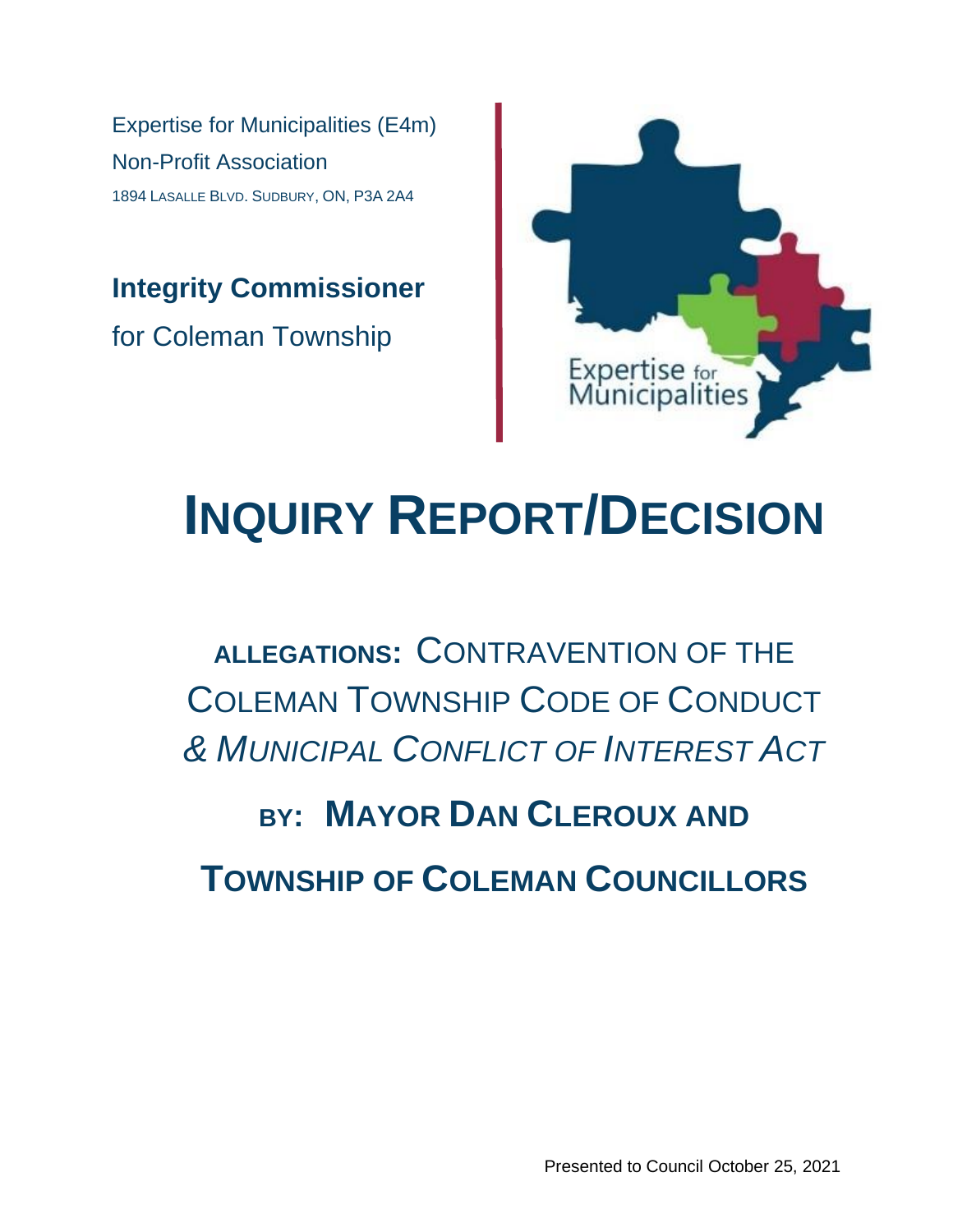Expertise for Municipalities (E4m) Non-Profit Association 1894 LASALLE BLVD. SUDBURY, ON, P3A 2A4

**Integrity Commissioner** for Coleman Township



# **INQUIRY REPORT/DECISION**

### **ALLEGATIONS:** CONTRAVENTION OF THE COLEMAN TOWNSHIP CODE OF CONDUCT *& MUNICIPAL CONFLICT OF INTEREST ACT*

## **BY: MAYOR DAN CLEROUX AND TOWNSHIP OF COLEMAN COUNCILLORS**

Presented to Council October 25, 2021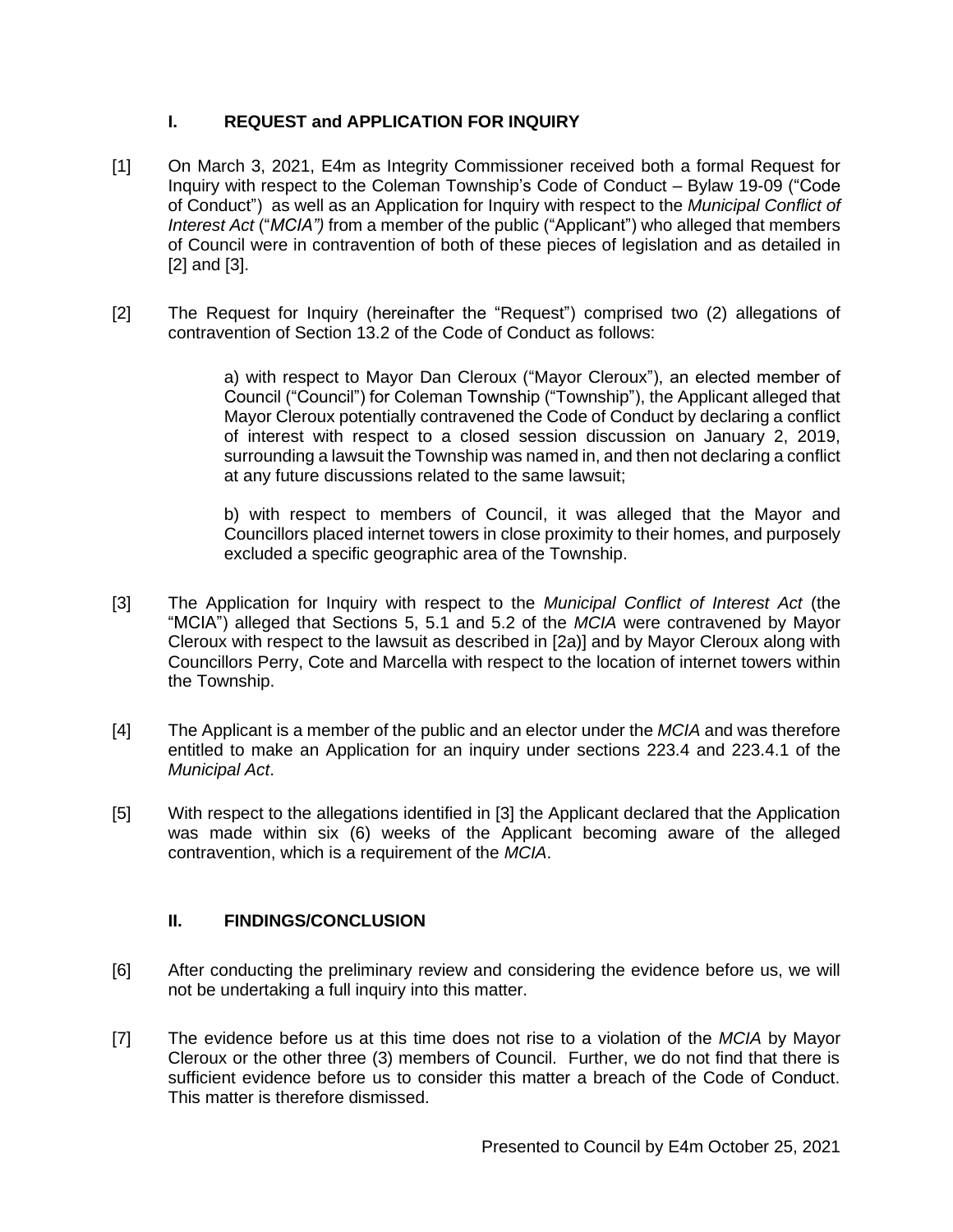#### **I. REQUEST and APPLICATION FOR INQUIRY**

- [1] On March 3, 2021, E4m as Integrity Commissioner received both a formal Request for Inquiry with respect to the Coleman Township's Code of Conduct – Bylaw 19-09 ("Code of Conduct") as well as an Application for Inquiry with respect to the *Municipal Conflict of Interest Act* ("*MCIA")* from a member of the public ("Applicant") who alleged that members of Council were in contravention of both of these pieces of legislation and as detailed in [2] and [3].
- [2] The Request for Inquiry (hereinafter the "Request") comprised two (2) allegations of contravention of Section 13.2 of the Code of Conduct as follows:

a) with respect to Mayor Dan Cleroux ("Mayor Cleroux"), an elected member of Council ("Council") for Coleman Township ("Township"), the Applicant alleged that Mayor Cleroux potentially contravened the Code of Conduct by declaring a conflict of interest with respect to a closed session discussion on January 2, 2019, surrounding a lawsuit the Township was named in, and then not declaring a conflict at any future discussions related to the same lawsuit;

b) with respect to members of Council, it was alleged that the Mayor and Councillors placed internet towers in close proximity to their homes, and purposely excluded a specific geographic area of the Township.

- [3] The Application for Inquiry with respect to the *Municipal Conflict of Interest Act* (the "MCIA") alleged that Sections 5, 5.1 and 5.2 of the *MCIA* were contravened by Mayor Cleroux with respect to the lawsuit as described in [2a)] and by Mayor Cleroux along with Councillors Perry, Cote and Marcella with respect to the location of internet towers within the Township.
- [4] The Applicant is a member of the public and an elector under the *MCIA* and was therefore entitled to make an Application for an inquiry under sections 223.4 and 223.4.1 of the *Municipal Act*.
- [5] With respect to the allegations identified in [3] the Applicant declared that the Application was made within six (6) weeks of the Applicant becoming aware of the alleged contravention, which is a requirement of the *MCIA*.

#### **II. FINDINGS/CONCLUSION**

- [6] After conducting the preliminary review and considering the evidence before us, we will not be undertaking a full inquiry into this matter.
- [7] The evidence before us at this time does not rise to a violation of the *MCIA* by Mayor Cleroux or the other three (3) members of Council. Further, we do not find that there is sufficient evidence before us to consider this matter a breach of the Code of Conduct. This matter is therefore dismissed.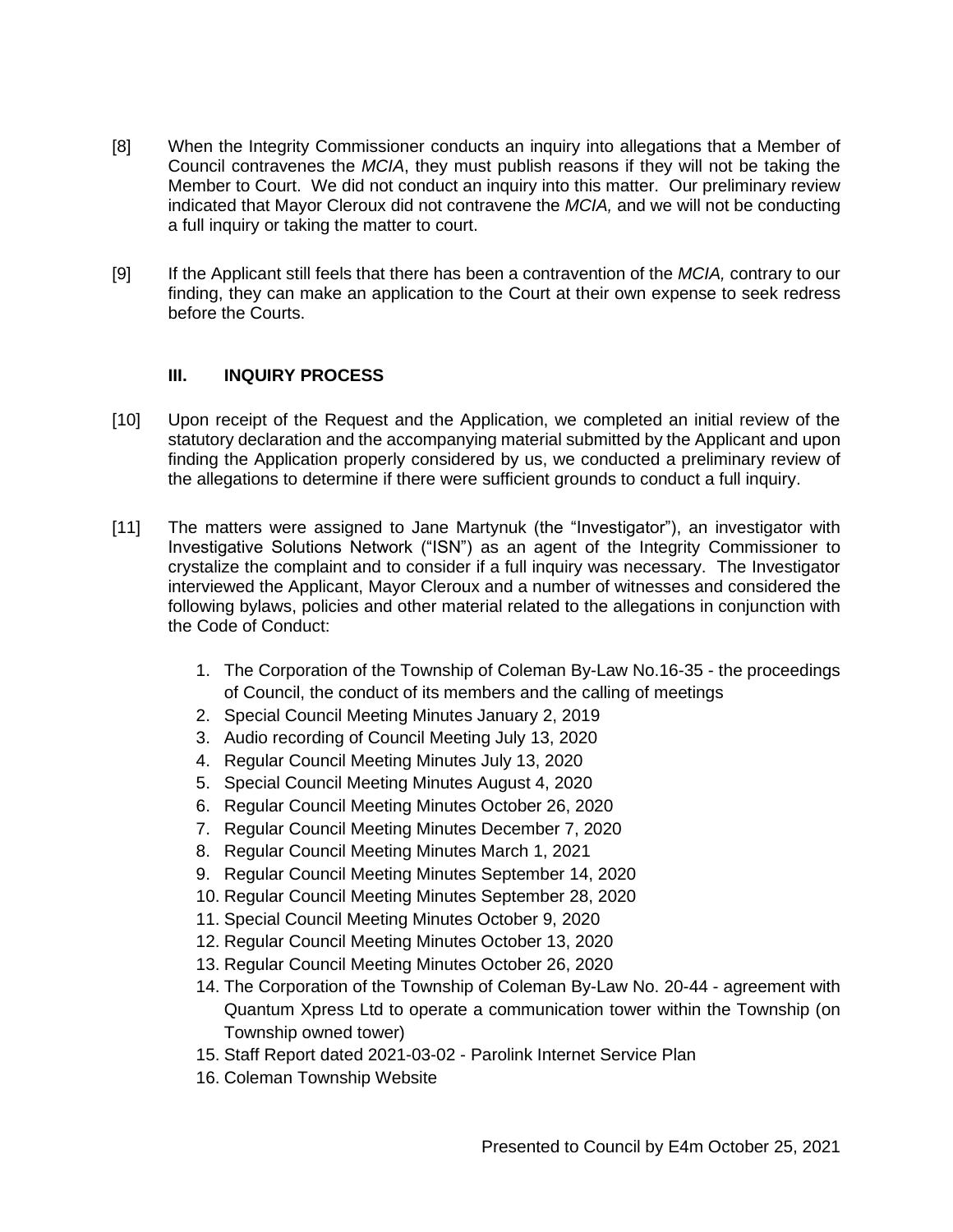- [8] When the Integrity Commissioner conducts an inquiry into allegations that a Member of Council contravenes the *MCIA*, they must publish reasons if they will not be taking the Member to Court. We did not conduct an inquiry into this matter. Our preliminary review indicated that Mayor Cleroux did not contravene the *MCIA,* and we will not be conducting a full inquiry or taking the matter to court.
- [9] If the Applicant still feels that there has been a contravention of the *MCIA,* contrary to our finding, they can make an application to the Court at their own expense to seek redress before the Courts.

#### **III. INQUIRY PROCESS**

- [10] Upon receipt of the Request and the Application, we completed an initial review of the statutory declaration and the accompanying material submitted by the Applicant and upon finding the Application properly considered by us, we conducted a preliminary review of the allegations to determine if there were sufficient grounds to conduct a full inquiry.
- [11] The matters were assigned to Jane Martynuk (the "Investigator"), an investigator with Investigative Solutions Network ("ISN") as an agent of the Integrity Commissioner to crystalize the complaint and to consider if a full inquiry was necessary. The Investigator interviewed the Applicant, Mayor Cleroux and a number of witnesses and considered the following bylaws, policies and other material related to the allegations in conjunction with the Code of Conduct:
	- 1. The Corporation of the Township of Coleman By-Law No.16-35 the proceedings of Council, the conduct of its members and the calling of meetings
	- 2. Special Council Meeting Minutes January 2, 2019
	- 3. Audio recording of Council Meeting July 13, 2020
	- 4. Regular Council Meeting Minutes July 13, 2020
	- 5. Special Council Meeting Minutes August 4, 2020
	- 6. Regular Council Meeting Minutes October 26, 2020
	- 7. Regular Council Meeting Minutes December 7, 2020
	- 8. Regular Council Meeting Minutes March 1, 2021
	- 9. Regular Council Meeting Minutes September 14, 2020
	- 10. Regular Council Meeting Minutes September 28, 2020
	- 11. Special Council Meeting Minutes October 9, 2020
	- 12. Regular Council Meeting Minutes October 13, 2020
	- 13. Regular Council Meeting Minutes October 26, 2020
	- 14. The Corporation of the Township of Coleman By-Law No. 20-44 agreement with Quantum Xpress Ltd to operate a communication tower within the Township (on Township owned tower)
	- 15. Staff Report dated 2021-03-02 Parolink Internet Service Plan
	- 16. Coleman Township Website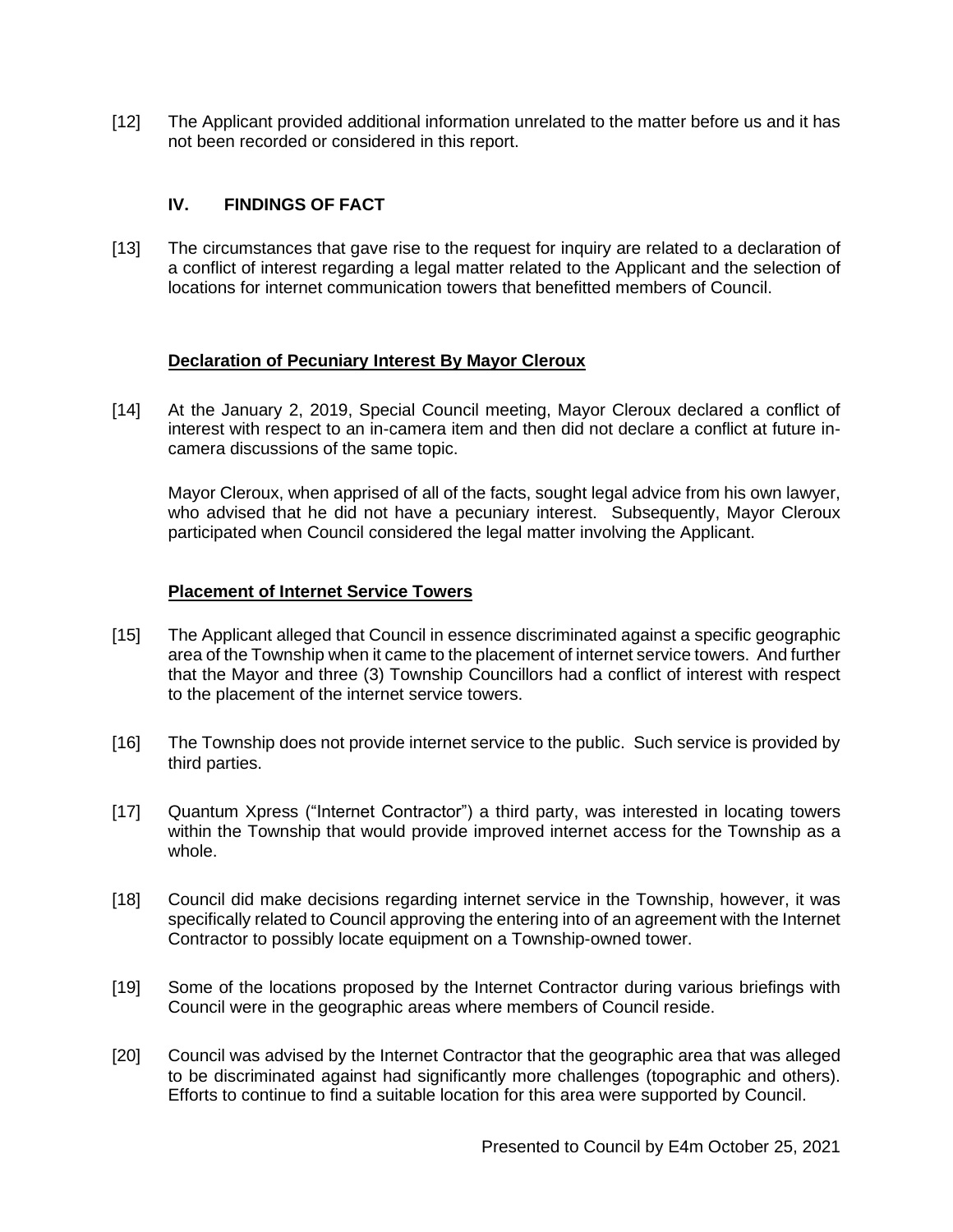[12] The Applicant provided additional information unrelated to the matter before us and it has not been recorded or considered in this report.

#### **IV. FINDINGS OF FACT**

[13] The circumstances that gave rise to the request for inquiry are related to a declaration of a conflict of interest regarding a legal matter related to the Applicant and the selection of locations for internet communication towers that benefitted members of Council.

#### **Declaration of Pecuniary Interest By Mayor Cleroux**

[14] At the January 2, 2019, Special Council meeting, Mayor Cleroux declared a conflict of interest with respect to an in-camera item and then did not declare a conflict at future incamera discussions of the same topic.

Mayor Cleroux, when apprised of all of the facts, sought legal advice from his own lawyer, who advised that he did not have a pecuniary interest. Subsequently, Mayor Cleroux participated when Council considered the legal matter involving the Applicant.

#### **Placement of Internet Service Towers**

- [15] The Applicant alleged that Council in essence discriminated against a specific geographic area of the Township when it came to the placement of internet service towers. And further that the Mayor and three (3) Township Councillors had a conflict of interest with respect to the placement of the internet service towers.
- [16] The Township does not provide internet service to the public. Such service is provided by third parties.
- [17] Quantum Xpress ("Internet Contractor") a third party, was interested in locating towers within the Township that would provide improved internet access for the Township as a whole.
- [18] Council did make decisions regarding internet service in the Township, however, it was specifically related to Council approving the entering into of an agreement with the Internet Contractor to possibly locate equipment on a Township-owned tower.
- [19] Some of the locations proposed by the Internet Contractor during various briefings with Council were in the geographic areas where members of Council reside.
- [20] Council was advised by the Internet Contractor that the geographic area that was alleged to be discriminated against had significantly more challenges (topographic and others). Efforts to continue to find a suitable location for this area were supported by Council.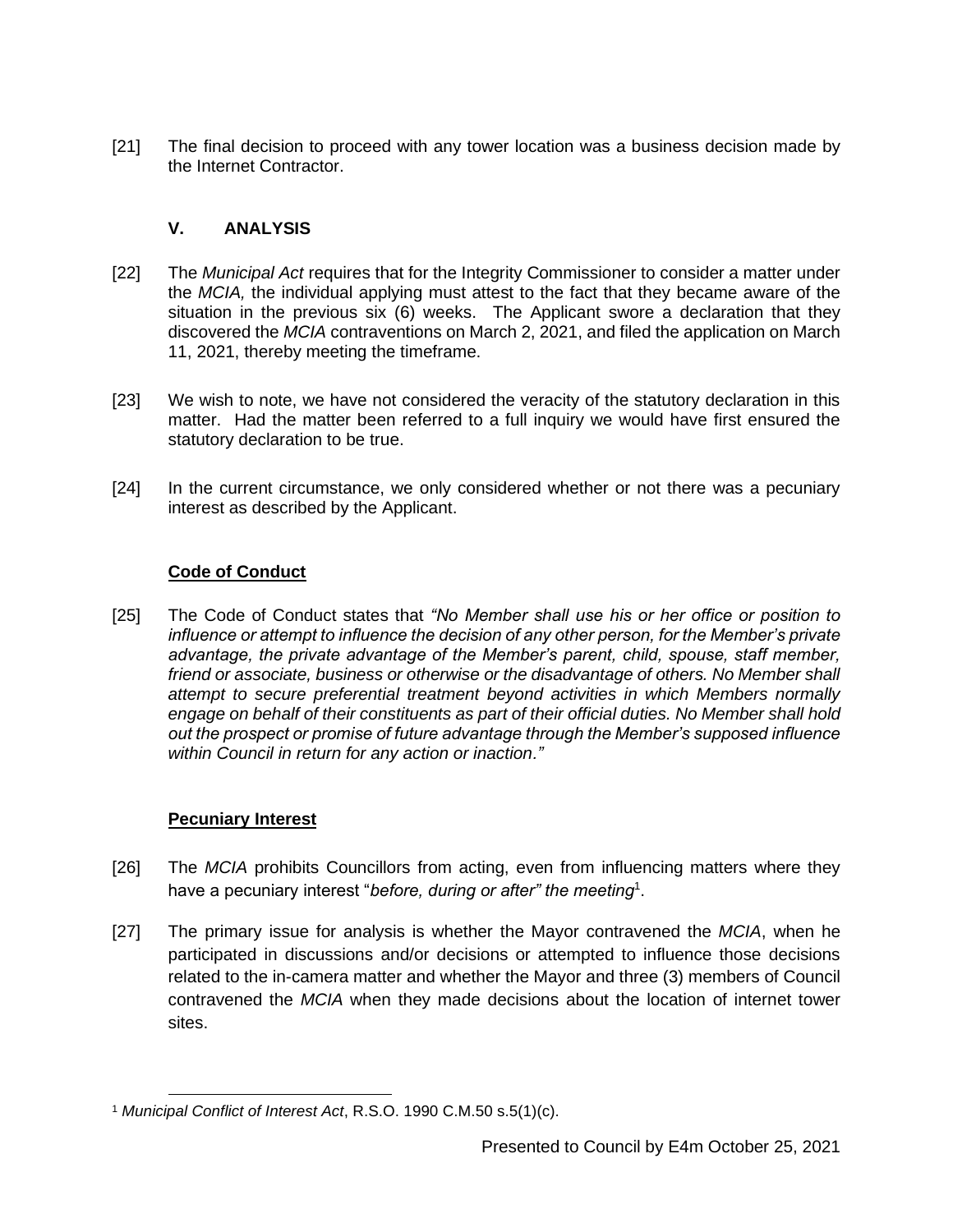[21] The final decision to proceed with any tower location was a business decision made by the Internet Contractor.

#### **V. ANALYSIS**

- [22] The *Municipal Act* requires that for the Integrity Commissioner to consider a matter under the *MCIA,* the individual applying must attest to the fact that they became aware of the situation in the previous  $\sin(6)$  weeks. The Applicant swore a declaration that they discovered the *MCIA* contraventions on March 2, 2021, and filed the application on March 11, 2021, thereby meeting the timeframe.
- [23] We wish to note, we have not considered the veracity of the statutory declaration in this matter. Had the matter been referred to a full inquiry we would have first ensured the statutory declaration to be true.
- [24] In the current circumstance, we only considered whether or not there was a pecuniary interest as described by the Applicant.

#### **Code of Conduct**

[25] The Code of Conduct states that *"No Member shall use his or her office or position to influence or attempt to influence the decision of any other person, for the Member's private advantage, the private advantage of the Member's parent, child, spouse, staff member, friend or associate, business or otherwise or the disadvantage of others. No Member shall attempt to secure preferential treatment beyond activities in which Members normally engage on behalf of their constituents as part of their official duties. No Member shall hold out the prospect or promise of future advantage through the Member's supposed influence within Council in return for any action or inaction."*

#### **Pecuniary Interest**

- [26] The *MCIA* prohibits Councillors from acting, even from influencing matters where they have a pecuniary interest "*before, during or after" the meeting*<sup>1</sup> .
- [27] The primary issue for analysis is whether the Mayor contravened the *MCIA*, when he participated in discussions and/or decisions or attempted to influence those decisions related to the in-camera matter and whether the Mayor and three (3) members of Council contravened the *MCIA* when they made decisions about the location of internet tower sites.

<sup>1</sup> *Municipal Conflict of Interest Act*, R.S.O. 1990 C.M.50 s.5(1)(c).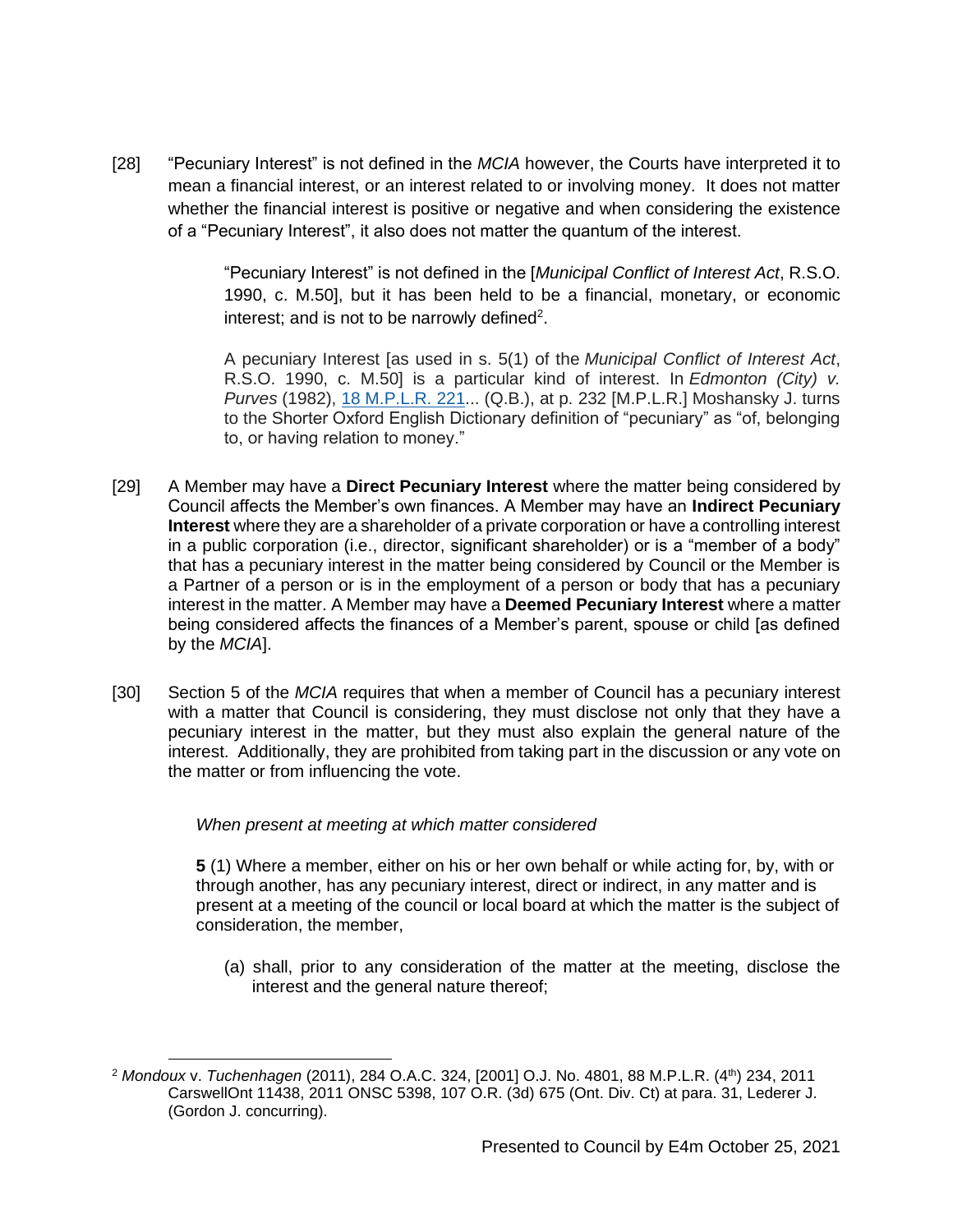[28] "Pecuniary Interest" is not defined in the *MCIA* however, the Courts have interpreted it to mean a financial interest, or an interest related to or involving money. It does not matter whether the financial interest is positive or negative and when considering the existence of a "Pecuniary Interest", it also does not matter the quantum of the interest.

> "Pecuniary Interest" is not defined in the [*Municipal Conflict of Interest Act*, R.S.O. 1990, c. M.50], but it has been held to be a financial, monetary, or economic interest; and is not to be narrowly defined<sup>2</sup>.

> A pecuniary Interest [as used in s. 5(1) of the *Municipal Conflict of Interest Act*, R.S.O. 1990, c. M.50] is a particular kind of interest. In *Edmonton (City) v. Purves* (1982), [18 M.P.L.R. 221.](https://nextcanada.westlaw.com/Link/Document/FullText?findType=Y&pubNum=5230&serNum=1982170845&originationContext=document&transitionType=DocumentItem&contextData=(sc.Search)).. (Q.B.), at p. 232 [M.P.L.R.] Moshansky J. turns to the Shorter Oxford English Dictionary definition of "pecuniary" as "of, belonging to, or having relation to money."

- [29] A Member may have a **Direct Pecuniary Interest** where the matter being considered by Council affects the Member's own finances. A Member may have an **Indirect Pecuniary Interest** where they are a shareholder of a private corporation or have a controlling interest in a public corporation (i.e., director, significant shareholder) or is a "member of a body" that has a pecuniary interest in the matter being considered by Council or the Member is a Partner of a person or is in the employment of a person or body that has a pecuniary interest in the matter. A Member may have a **Deemed Pecuniary Interest** where a matter being considered affects the finances of a Member's parent, spouse or child [as defined by the *MCIA*].
- [30] Section 5 of the *MCIA* requires that when a member of Council has a pecuniary interest with a matter that Council is considering, they must disclose not only that they have a pecuniary interest in the matter, but they must also explain the general nature of the interest. Additionally, they are prohibited from taking part in the discussion or any vote on the matter or from influencing the vote.

#### *When present at meeting at which matter considered*

**5** (1) Where a member, either on his or her own behalf or while acting for, by, with or through another, has any pecuniary interest, direct or indirect, in any matter and is present at a meeting of the council or local board at which the matter is the subject of consideration, the member,

(a) shall, prior to any consideration of the matter at the meeting, disclose the interest and the general nature thereof;

<sup>2</sup> *Mondoux* v. *Tuchenhagen* (2011), 284 O.A.C. 324, [2001] O.J. No. 4801, 88 M.P.L.R. (4th) 234, 2011 CarswellOnt 11438, 2011 ONSC 5398, 107 O.R. (3d) 675 (Ont. Div. Ct) at para. 31, Lederer J. (Gordon J. concurring).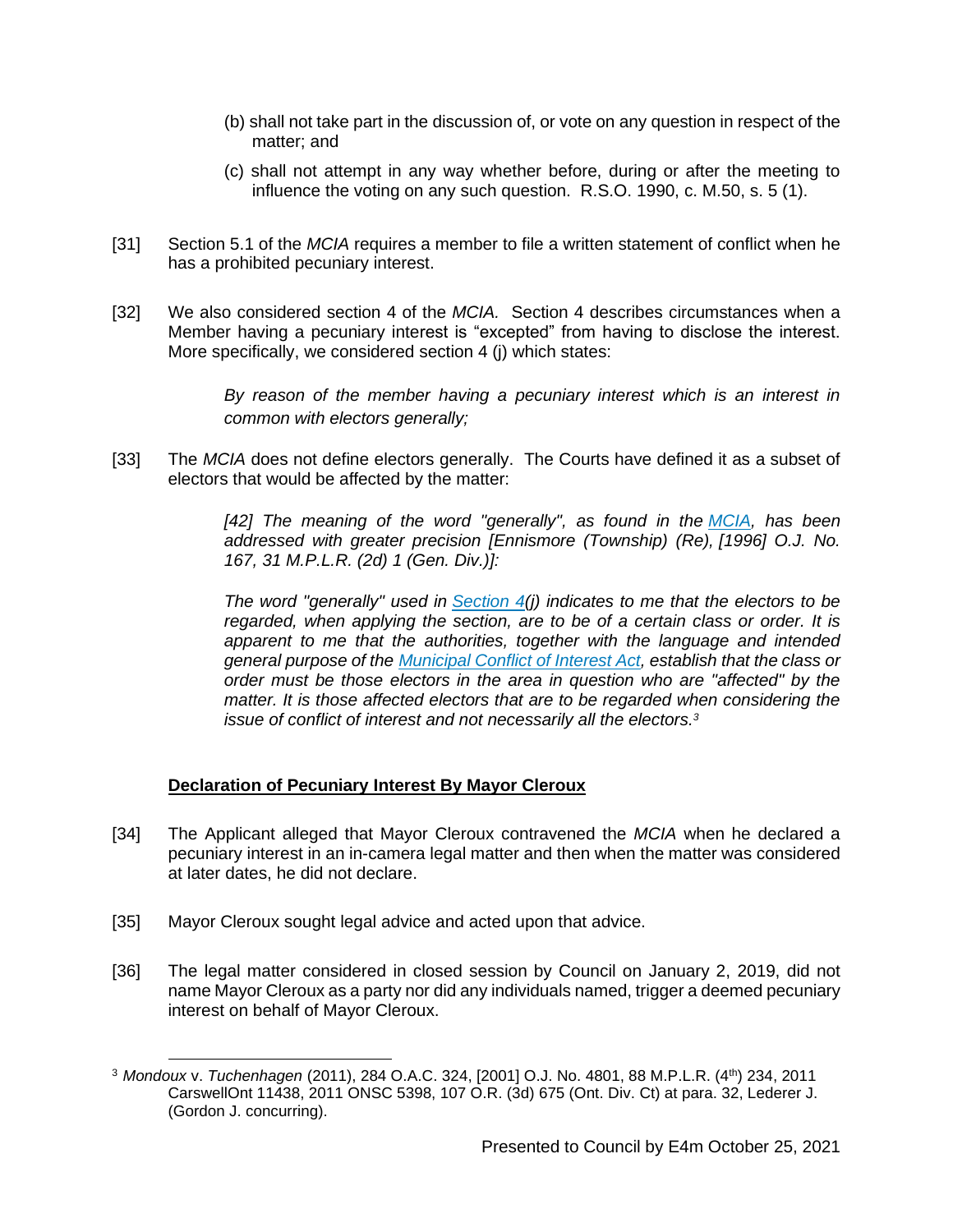- (b) shall not take part in the discussion of, or vote on any question in respect of the matter; and
- (c) shall not attempt in any way whether before, during or after the meeting to influence the voting on any such question. R.S.O. 1990, c. M.50, s. 5 (1).
- [31] Section 5.1 of the *MCIA* requires a member to file a written statement of conflict when he has a prohibited pecuniary interest.
- [32] We also considered section 4 of the *MCIA.* Section 4 describes circumstances when a Member having a pecuniary interest is "excepted" from having to disclose the interest. More specifically, we considered section 4 (j) which states:

*By reason of the member having a pecuniary interest which is an interest in common with electors generally;* 

[33] The *MCIA* does not define electors generally. The Courts have defined it as a subset of electors that would be affected by the matter:

> *[42] The meaning of the word "generally", as found in the [MCIA,](https://www.canlii.org/en/on/laws/stat/rso-1990-c-m50/latest/rso-1990-c-m50.html) has been addressed with greater precision [Ennismore (Township) (Re), [1996] O.J. No. 167, 31 M.P.L.R. (2d) 1 (Gen. Div.)]:*

> *The word "generally" used in [Section 4\(](https://www.canlii.org/en/on/laws/stat/rso-1990-c-m50/latest/rso-1990-c-m50.html#sec4_smooth)j) indicates to me that the electors to be regarded, when applying the section, are to be of a certain class or order. It is apparent to me that the authorities, together with the language and intended general purpose of the [Municipal Conflict of Interest Act,](https://www.canlii.org/en/on/laws/stat/rso-1990-c-m50/latest/rso-1990-c-m50.html) establish that the class or order must be those electors in the area in question who are "affected" by the matter. It is those affected electors that are to be regarded when considering the issue of conflict of interest and not necessarily all the electors.<sup>3</sup>*

#### **Declaration of Pecuniary Interest By Mayor Cleroux**

- [34] The Applicant alleged that Mayor Cleroux contravened the *MCIA* when he declared a pecuniary interest in an in-camera legal matter and then when the matter was considered at later dates, he did not declare.
- [35] Mayor Cleroux sought legal advice and acted upon that advice.
- [36] The legal matter considered in closed session by Council on January 2, 2019, did not name Mayor Cleroux as a party nor did any individuals named, trigger a deemed pecuniary interest on behalf of Mayor Cleroux.

<sup>3</sup> *Mondoux* v. *Tuchenhagen* (2011), 284 O.A.C. 324, [2001] O.J. No. 4801, 88 M.P.L.R. (4th) 234, 2011 CarswellOnt 11438, 2011 ONSC 5398, 107 O.R. (3d) 675 (Ont. Div. Ct) at para. 32, Lederer J. (Gordon J. concurring).